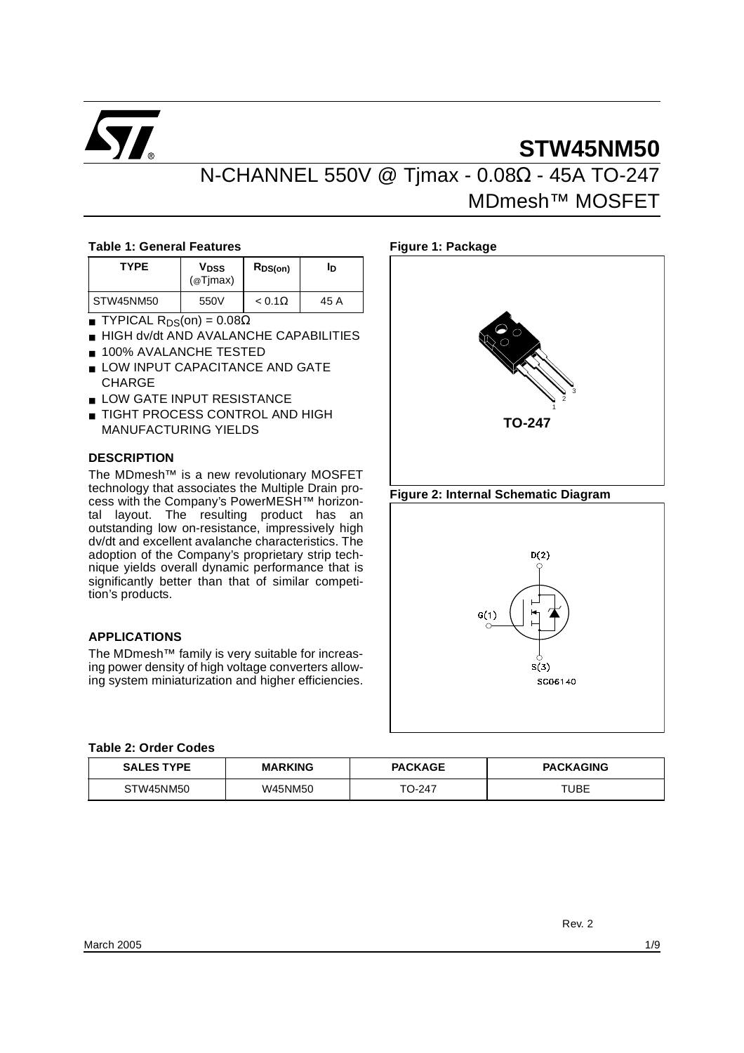

# **STW45NM50**

N-CHANNEL 550V @ Tjmax - 0.08Ω - 45A TO-247

# MDmesh™ MOSFET

#### **Table 1: General Features**

| <b>TYPE</b> | <b>V<sub>DSS</sub></b><br>@T <sub>Imax</sub> | $R_{DS(on)}$  | Iр   |
|-------------|----------------------------------------------|---------------|------|
| STW45NM50   | 550V                                         | $< 0.1\Omega$ | 45 A |

- TYPICAL R<sub>DS</sub>(on) =  $0.08Ω$
- HIGH dv/dt AND AVALANCHE CAPABILITIES
- 100% AVALANCHE TESTED
- LOW INPUT CAPACITANCE AND GATE **CHARGE**
- **LOW GATE INPUT RESISTANCE**
- TIGHT PROCESS CONTROL AND HIGH MANUFACTURING YIELDS

#### **DESCRIPTION**

The MDmesh™ is a new revolutionary MOSFET technology that associates the Multiple Drain process with the Company's PowerMESH™ horizontal layout. The resulting product has an outstanding low on-resistance, impressively high dv/dt and excellent avalanche characteristics. The adoption of the Company's proprietary strip technique yields overall dynamic performance that is significantly better than that of similar competition's products.

#### **APPLICATIONS**

The MDmesh™ family is very suitable for increasing power density of high voltage converters allowing system miniaturization and higher efficiencies.



**Figure 2: Internal Schematic Diagram**



#### **Table 2: Order Codes**

| <b>SALES TYPE</b> | <b>MARKING</b> | <b>PACKAGE</b> | <b>PACKAGING</b> |  |
|-------------------|----------------|----------------|------------------|--|
| STW45NM50         | W45NM50        |                | TUBE             |  |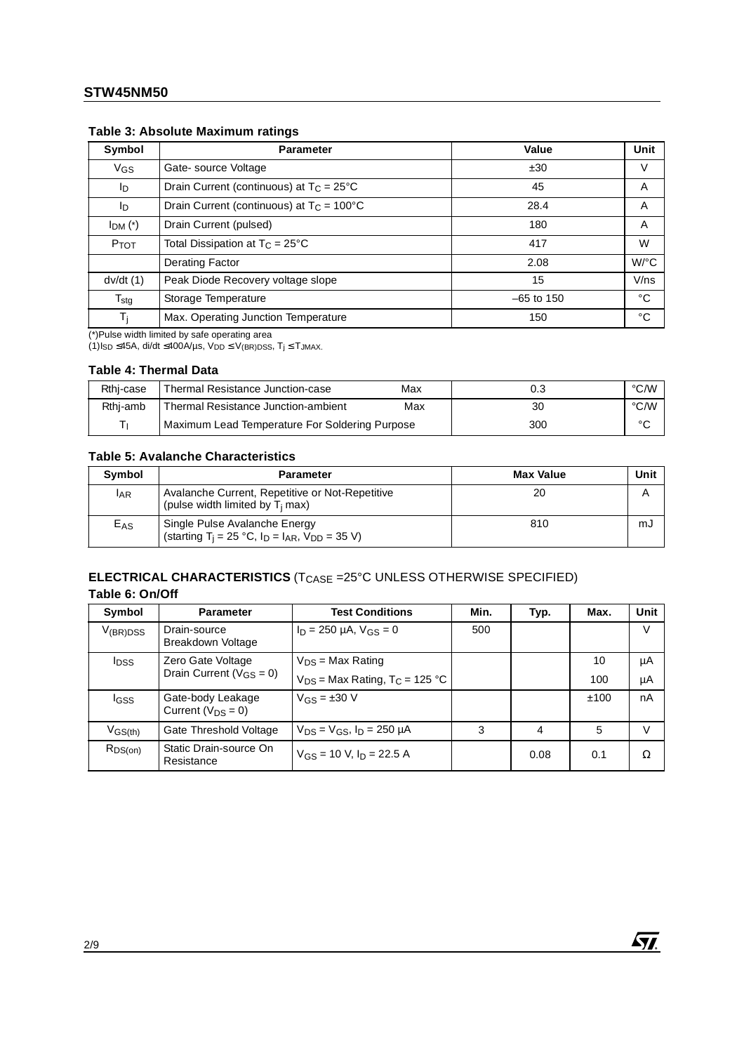| Symbol           | <b>Parameter</b>                                   | Value        | Unit                 |
|------------------|----------------------------------------------------|--------------|----------------------|
| V <sub>GS</sub>  | Gate-source Voltage                                | ±30          | v                    |
| ID               | Drain Current (continuous) at $T_C = 25^{\circ}C$  | 45           | A                    |
| Iр               | Drain Current (continuous) at $T_C = 100^{\circ}C$ |              | A                    |
| $IDM$ (*)        | Drain Current (pulsed)                             | 180          | A                    |
| PTOT             | Total Dissipation at $T_C = 25^{\circ}C$           | 417          | W                    |
|                  | Derating Factor                                    | 2.08         | $W$ <sup>o</sup> $C$ |
| dv/dt(1)         | Peak Diode Recovery voltage slope                  | 15           | V/ns                 |
| $T_{\text{stg}}$ | Storage Temperature                                | $-65$ to 150 | °C                   |
| Ti               | Max. Operating Junction Temperature                | 150          | °C                   |

#### **Table 3: Absolute Maximum ratings**

(\*)Pulse width limited by safe operating area

(1)Is $_D \leq 45A$ , di/dt ≤400A/µs, V $_{DD} \leq V_{(BR)DSS}$ , T<sub>j</sub> ≤ T $_{JMAX}$ .

#### **Table 4: Thermal Data**

| Rthi-case | Thermal Resistance Junction-case               | Max | 0.3 | °C/W    |
|-----------|------------------------------------------------|-----|-----|---------|
| Rthj-amb  | Thermal Resistance Junction-ambient            | Max | 30  | °C/W    |
| ÷         | Maximum Lead Temperature For Soldering Purpose |     | 300 | $\circ$ |

#### **Table 5: Avalanche Characteristics**

| <b>Symbol</b> | <b>Parameter</b>                                                                                       | <b>Max Value</b> | Unit |
|---------------|--------------------------------------------------------------------------------------------------------|------------------|------|
| <b>IAR</b>    | Avalanche Current, Repetitive or Not-Repetitive<br>(pulse width limited by $T_i$ max)                  | 20               | Α    |
| $E_{AS}$      | Single Pulse Avalanche Energy<br>(starting T <sub>j</sub> = 25 °C, $I_D$ = $I_{AR}$ , $V_{DD}$ = 35 V) | 810              | mJ   |

#### **ELECTRICAL CHARACTERISTICS** (T<sub>CASE</sub> =25°C UNLESS OTHERWISE SPECIFIED) **Table 6: On/Off**

| Symbol        | <b>Parameter</b>                              | <b>Test Conditions</b>                         | Min. | Typ. | Max. | Unit |
|---------------|-----------------------------------------------|------------------------------------------------|------|------|------|------|
| $V_{(BR)DSS}$ | Drain-source<br>Breakdown Voltage             | $I_D = 250 \mu A$ , $V_{GS} = 0$               | 500  |      |      | V    |
| <b>I</b> DSS  | Zero Gate Voltage                             | $V_{DS}$ = Max Rating                          |      |      | 10   | μA   |
|               | Drain Current ( $V_{GS} = 0$ )                | $V_{DS}$ = Max Rating, T <sub>C</sub> = 125 °C |      |      | 100  | μA   |
| IGSS          | Gate-body Leakage<br>Current ( $V_{DS} = 0$ ) | $V_{GS} = \pm 30$ V                            |      |      | ±100 | nA   |
| $V_{GS(th)}$  | Gate Threshold Voltage                        | $V_{DS} = V_{GS}$ , $I_D = 250 \mu A$          | 3    | 4    | 5    | V    |
| $R_{DS(on)}$  | Static Drain-source On<br>Resistance          | $V_{GS}$ = 10 V, $I_D$ = 22.5 A                |      | 0.08 | 0.1  | Ω    |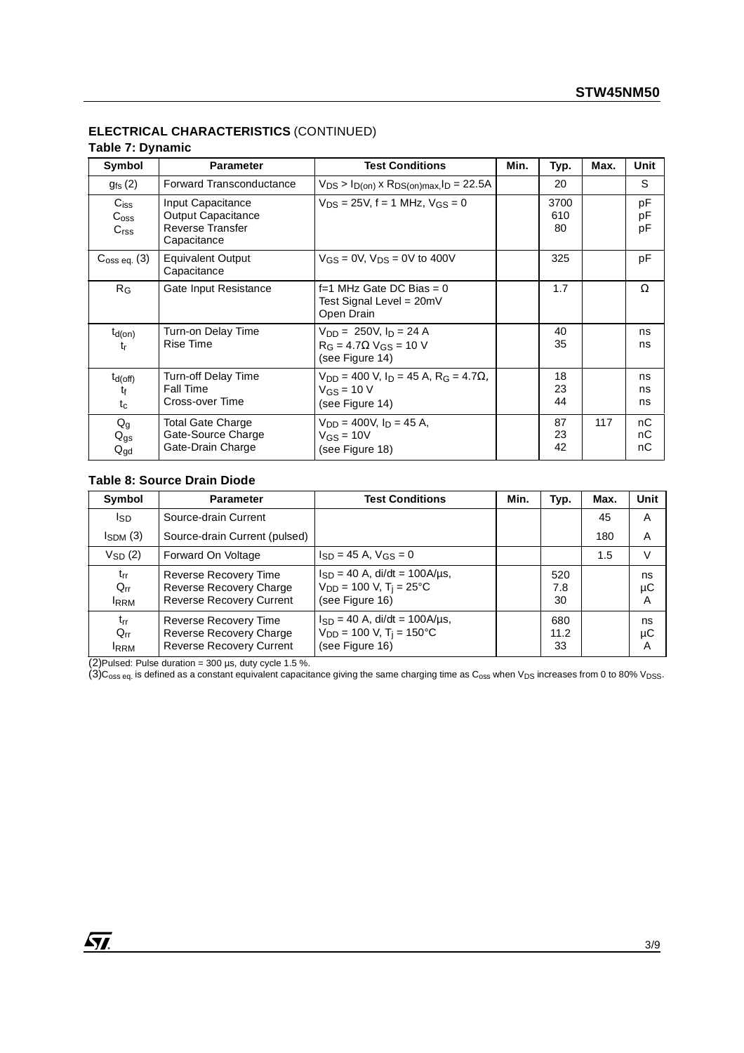# **ELECTRICAL CHARACTERISTICS** (CONTINUED)

# **Table 7: Dynamic**

| Symbol                                          | <b>Parameter</b>                                                                         | <b>Test Conditions</b>                                                                                         | Min. | Typ.              | Max. | Unit           |
|-------------------------------------------------|------------------------------------------------------------------------------------------|----------------------------------------------------------------------------------------------------------------|------|-------------------|------|----------------|
| $g_{fs}$ (2)                                    | <b>Forward Transconductance</b>                                                          | $V_{DS}$ > $I_{D(on)}$ x $R_{DS(on)max}$ , $I_D$ = 22.5A                                                       |      | 20                |      | S              |
| $C_{iss}$<br>$C_{\rm{oss}}$<br>C <sub>rss</sub> | Input Capacitance<br><b>Output Capacitance</b><br><b>Reverse Transfer</b><br>Capacitance | $V_{DS} = 25V$ , f = 1 MHz, $V_{GS} = 0$                                                                       |      | 3700<br>610<br>80 |      | pF<br>pF<br>рF |
| $C_{\text{oss eq.}}(3)$                         | Equivalent Output<br>Capacitance                                                         | $V_{GS} = 0V$ , $V_{DS} = 0V$ to 400V                                                                          |      | 325               |      | pF             |
| R <sub>G</sub>                                  | Gate Input Resistance                                                                    | f=1 MHz Gate DC Bias = $0$<br>Test Signal Level = 20mV<br>Open Drain                                           |      | 1.7               |      | Ω              |
| $t_{d(on)}$<br>tr                               | Turn-on Delay Time<br><b>Rise Time</b>                                                   | $V_{DD} = 250V, I_D = 24 A$<br>$R_G = 4.7 \Omega$ V <sub>GS</sub> = 10 V<br>(see Figure 14)                    |      | 40<br>35          |      | ns<br>ns       |
| $t_{d(off)}$<br>tŧ<br>$t_c$                     | <b>Turn-off Delay Time</b><br><b>Fall Time</b><br>Cross-over Time                        | $V_{DD}$ = 400 V, I <sub>D</sub> = 45 A, R <sub>G</sub> = 4.7 $\Omega$ ,<br>$V_{GS}$ = 10 V<br>(see Figure 14) |      | 18<br>23<br>44    |      | ns<br>ns<br>ns |
| $Q_g$<br>$Q_{gs}$<br>$\mathsf{Q}_{\mathsf{gd}}$ | Total Gate Charge<br>Gate-Source Charge<br>Gate-Drain Charge                             | $V_{DD} = 400V$ . In = 45 A.<br>$V_{GS} = 10V$<br>(see Figure 18)                                              |      | 87<br>23<br>42    | 117  | nС<br>nС<br>nС |

#### **Table 8: Source Drain Diode**

| Symbol                                              | <b>Parameter</b>                                                                    | <b>Test Conditions</b>                                                                                | Min. | Typ.              | Max. | Unit          |
|-----------------------------------------------------|-------------------------------------------------------------------------------------|-------------------------------------------------------------------------------------------------------|------|-------------------|------|---------------|
| Isp                                                 | Source-drain Current                                                                |                                                                                                       |      |                   | 45   | A             |
| $I_{SDM}$ (3)                                       | Source-drain Current (pulsed)                                                       |                                                                                                       |      |                   | 180  | A             |
| $V_{SD}$ (2)                                        | Forward On Voltage                                                                  | $I_{SD} = 45$ A, $V_{GS} = 0$                                                                         |      |                   | 1.5  | $\vee$        |
| $t_{rr}$<br>$Q_{rr}$<br><b>IRRM</b>                 | Reverse Recovery Time<br>Reverse Recovery Charge<br><b>Reverse Recovery Current</b> | $I_{SD} = 40$ A, di/dt = 100A/ $\mu$ s,<br>$V_{DD}$ = 100 V, T <sub>i</sub> = 25°C<br>(see Figure 16) |      | 520<br>7.8<br>30  |      | ns<br>μC<br>A |
| $t_{rr}$<br>$Q_{rr}$<br><b>IRRM</b><br>$\mathbf{1}$ | Reverse Recovery Time<br>Reverse Recovery Charge<br><b>Reverse Recovery Current</b> | $I_{SD} = 40$ A, di/dt = 100A/us,<br>$V_{DD}$ = 100 V, T <sub>i</sub> = 150 °C<br>(see Figure 16)     |      | 680<br>11.2<br>33 |      | ns<br>μC<br>A |

(2)Pulsed: Pulse duration =  $300 \,\mu s$ , duty cycle 1.5 %.

(3)C<sub>oss eq.</sub> is defined as a constant equivalent capacitance giving the same charging time as C<sub>oss</sub> when V<sub>DS</sub> increases from 0 to 80% V<sub>DSS</sub>.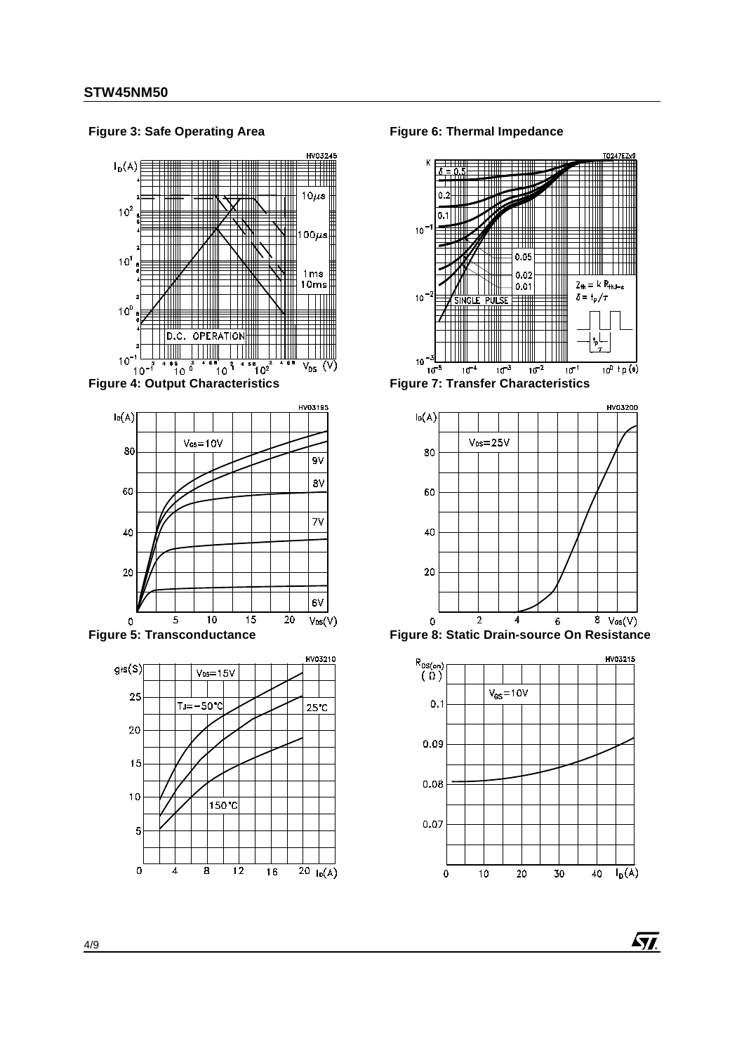HV03245  $I_D(A)$ Ш TTTTTT ──────────  $10\mu s$ VIII TTTII  $\Box$  $10<sup>2</sup>$  $100\mu s$ Ш  $10^1$  $1<sub>ms</sub>$ 10ms  $10^0$ OPERATION D.C.  $10^{-1}$  $\int_{10}^{68}$  $\frac{1}{10}$   $\frac{1}{10}$  $68 \atop 102$  $\overline{V_{DS}}$  $(V)$  $10^{-1}$ 



**Figure 3: Safe Operating Area**





**Figure 6: Thermal Impedance**



**Figure 7: Transfer Characteristics**



**Figure 8: Static Drain-source On Resistance**

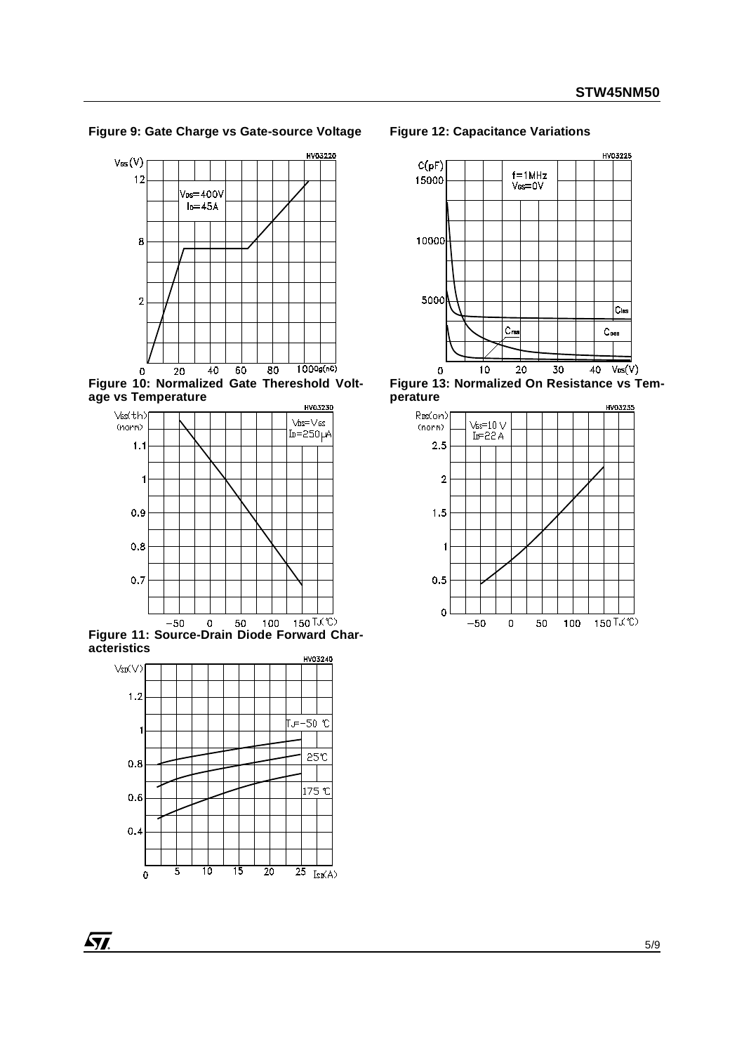#### **Figure 9: Gate Charge vs Gate-source Voltage**



**Figure 10: Normalized Gate Thereshold Voltage vs Temperature** HV03230



**Figure 11: Source-Drain Diode Forward Characteristics**



#### **Figure 12: Capacitance Variations**



**Figure 13: Normalized On Resistance vs Temperature**



**ST**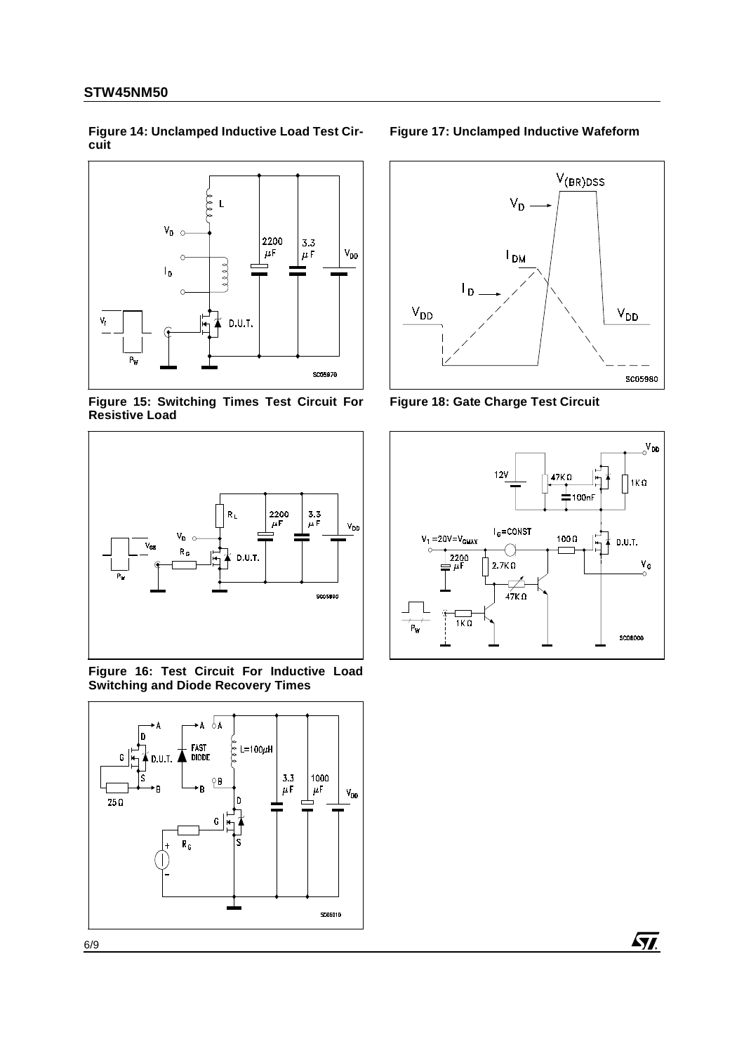<span id="page-5-0"></span>**Figure 14: Unclamped Inductive Load Test Circuit** 



**Figure 15: Switching Times Test Circuit For Resistive Load** 



<span id="page-5-2"></span>**Figure 16: Test Circuit For Inductive Load Switching and Diode Recovery Times** 



### **Figure 17: Unclamped Inductive Wafeform**



<span id="page-5-1"></span>**Figure 18: Gate Charge Test Circuit** 

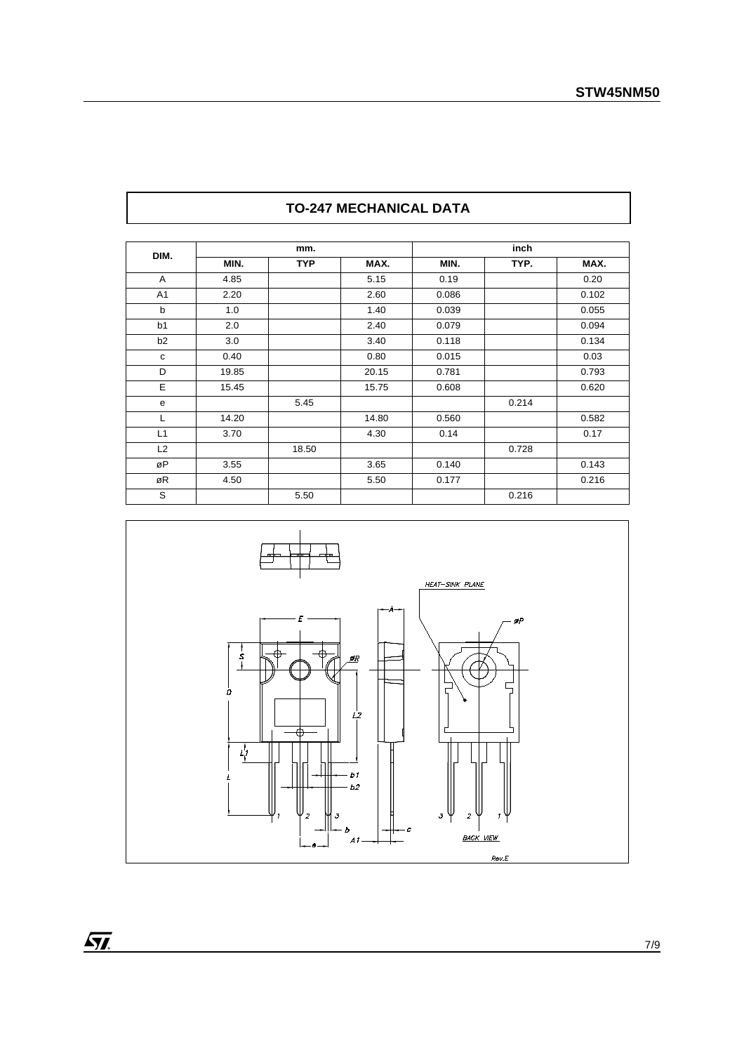| DIM.           |                      | mm.        |       |       | inch  |       |
|----------------|----------------------|------------|-------|-------|-------|-------|
|                | MIN.                 | <b>TYP</b> | MAX.  | MIN.  | TYP.  | MAX.  |
| A              | 4.85                 |            | 5.15  | 0.19  |       | 0.20  |
| A <sub>1</sub> | 2.20                 |            | 2.60  | 0.086 |       | 0.102 |
| b              | 1.0                  |            | 1.40  | 0.039 |       | 0.055 |
| b <sub>1</sub> | 2.0<br>2.40<br>0.079 |            |       | 0.094 |       |       |
| b2             | 3.0                  |            | 3.40  | 0.118 |       | 0.134 |
| c              | 0.40                 |            | 0.80  | 0.015 |       | 0.03  |
| D              | 19.85                |            | 20.15 | 0.781 |       | 0.793 |
| E              | 15.45                |            | 15.75 | 0.608 |       | 0.620 |
| e              |                      | 5.45       |       |       | 0.214 |       |
| L              | 14.20                |            | 14.80 | 0.560 |       | 0.582 |
| L1             | 3.70                 |            | 4.30  | 0.14  |       | 0.17  |
| L2             |                      | 18.50      |       |       | 0.728 |       |
| øP             | 3.55                 |            | 3.65  | 0.140 |       | 0.143 |
| øR             | 4.50                 |            | 5.50  | 0.177 |       | 0.216 |
| S              |                      | 5.50       |       |       | 0.216 |       |





 $\sqrt{M}$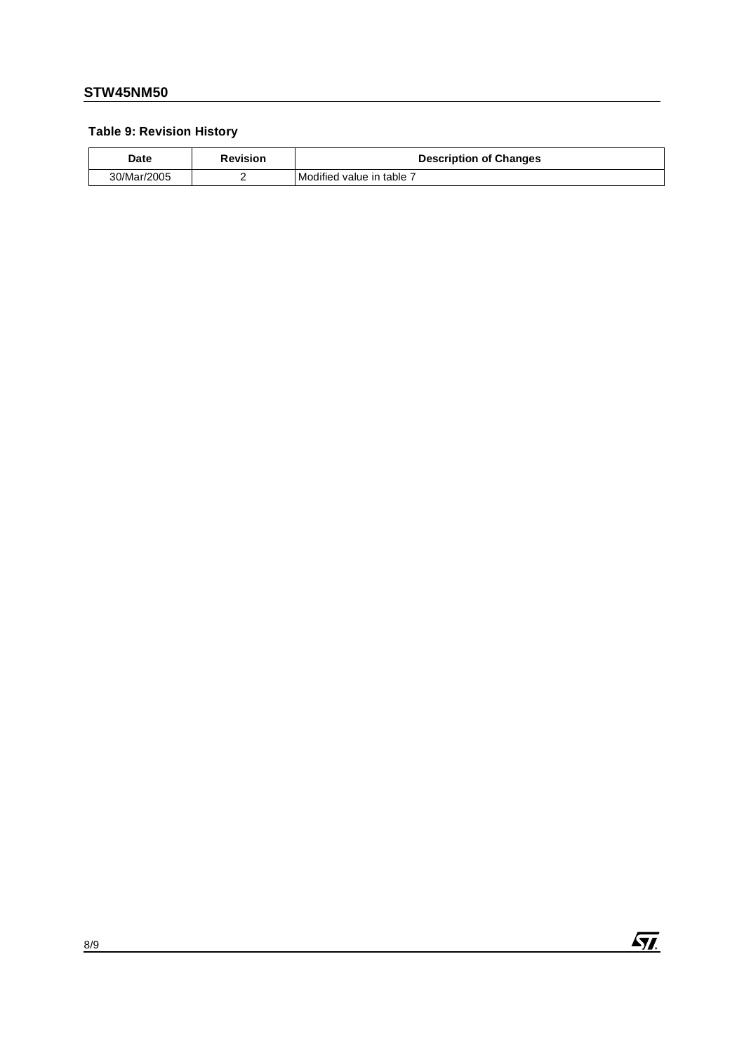# **Table 9: Revision History**

| Date        | <b>Revision</b> | <b>Description of Changes</b> |
|-------------|-----------------|-------------------------------|
| 30/Mar/2005 |                 | l Modified value in table 7   |